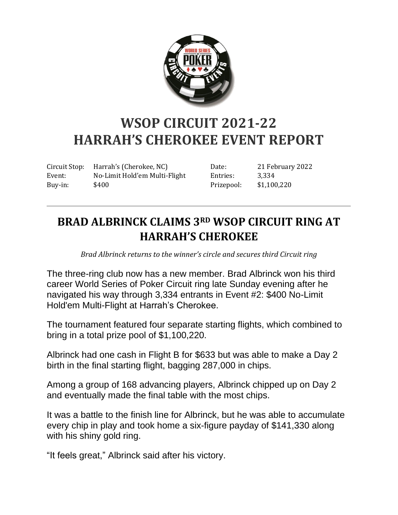

## **WSOP CIRCUIT 2021-22 HARRAH'S CHEROKEE EVENT REPORT**

Circuit Stop: Harrah's (Cherokee, NC) Event: No-Limit Hold'em Multi-Flight Buy-in: \$400

Date: 21 February 2022 Entries: 3,334 Prizepool: \$1,100,220

## **BRAD ALBRINCK CLAIMS 3RD WSOP CIRCUIT RING AT HARRAH'S CHEROKEE**

*Brad Albrinck returns to the winner's circle and secures third Circuit ring*

The three-ring club now has a new member. Brad Albrinck won his third career World Series of Poker Circuit ring late Sunday evening after he navigated his way through 3,334 entrants in Event #2: \$400 No-Limit Hold'em Multi-Flight at Harrah's Cherokee.

The tournament featured four separate starting flights, which combined to bring in a total prize pool of \$1,100,220.

Albrinck had one cash in Flight B for \$633 but was able to make a Day 2 birth in the final starting flight, bagging 287,000 in chips.

Among a group of 168 advancing players, Albrinck chipped up on Day 2 and eventually made the final table with the most chips.

It was a battle to the finish line for Albrinck, but he was able to accumulate every chip in play and took home a six-figure payday of \$141,330 along with his shiny gold ring.

"It feels great," Albrinck said after his victory.